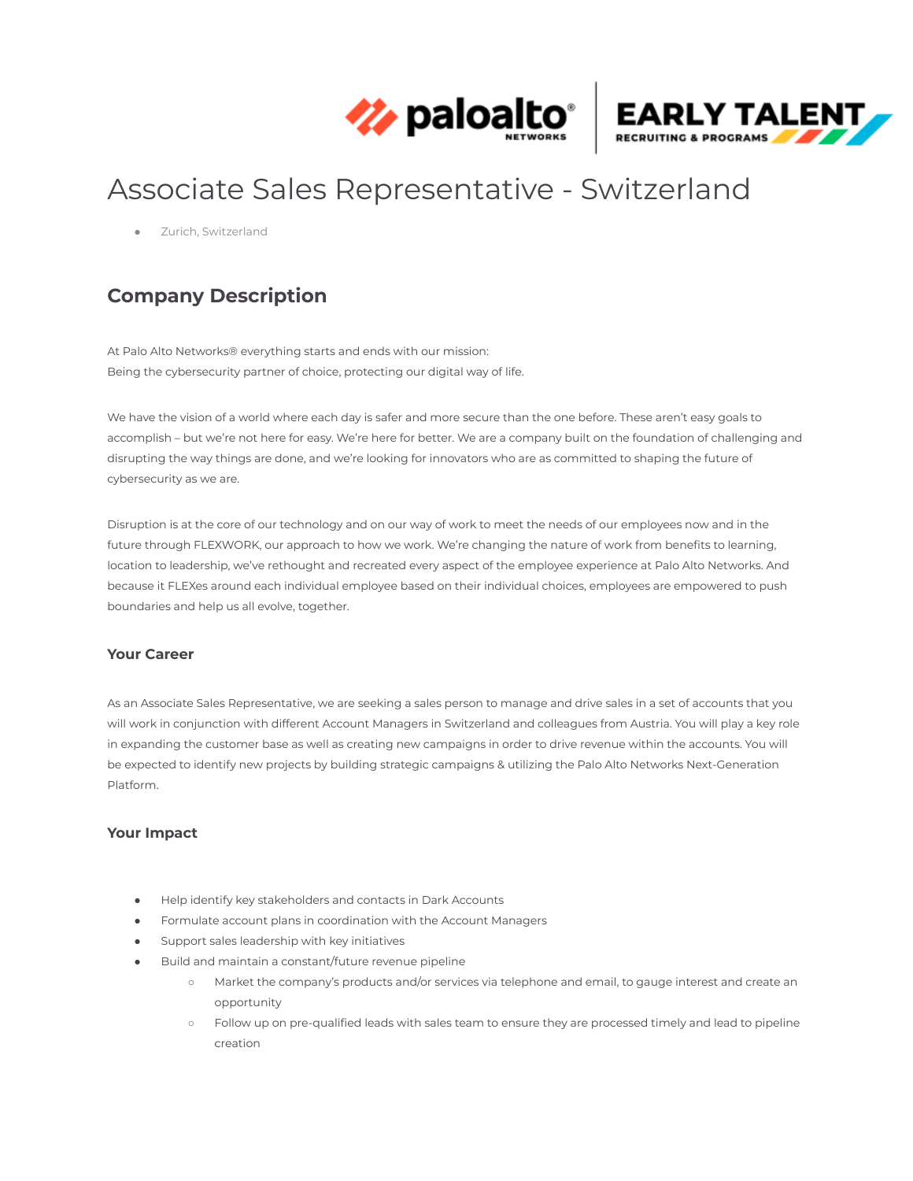



# Associate Sales Representative - Switzerland

Zurich, Switzerland

## **Company Description**

At Palo Alto Networks® everything starts and ends with our mission: Being the cybersecurity partner of choice, protecting our digital way of life.

We have the vision of a world where each day is safer and more secure than the one before. These aren't easy goals to accomplish – but we're not here for easy. We're here for better. We are a company built on the foundation of challenging and disrupting the way things are done, and we're looking for innovators who are as committed to shaping the future of cybersecurity as we are.

Disruption is at the core of our technology and on our way of work to meet the needs of our employees now and in the future through FLEXWORK, our approach to how we work. We're changing the nature of work from benefits to learning, location to leadership, we've rethought and recreated every aspect of the employee experience at Palo Alto Networks. And because it FLEXes around each individual employee based on their individual choices, employees are empowered to push boundaries and help us all evolve, together.

#### **Your Career**

As an Associate Sales Representative, we are seeking a sales person to manage and drive sales in a set of accounts that you will work in conjunction with different Account Managers in Switzerland and colleagues from Austria. You will play a key role in expanding the customer base as well as creating new campaigns in order to drive revenue within the accounts. You will be expected to identify new projects by building strategic campaigns & utilizing the Palo Alto Networks Next-Generation Platform.

#### **Your Impact**

- Help identify key stakeholders and contacts in Dark Accounts
- Formulate account plans in coordination with the Account Managers
- Support sales leadership with key initiatives
- Build and maintain a constant/future revenue pipeline
	- Market the company's products and/or services via telephone and email, to gauge interest and create an opportunity
	- Follow up on pre-qualified leads with sales team to ensure they are processed timely and lead to pipeline creation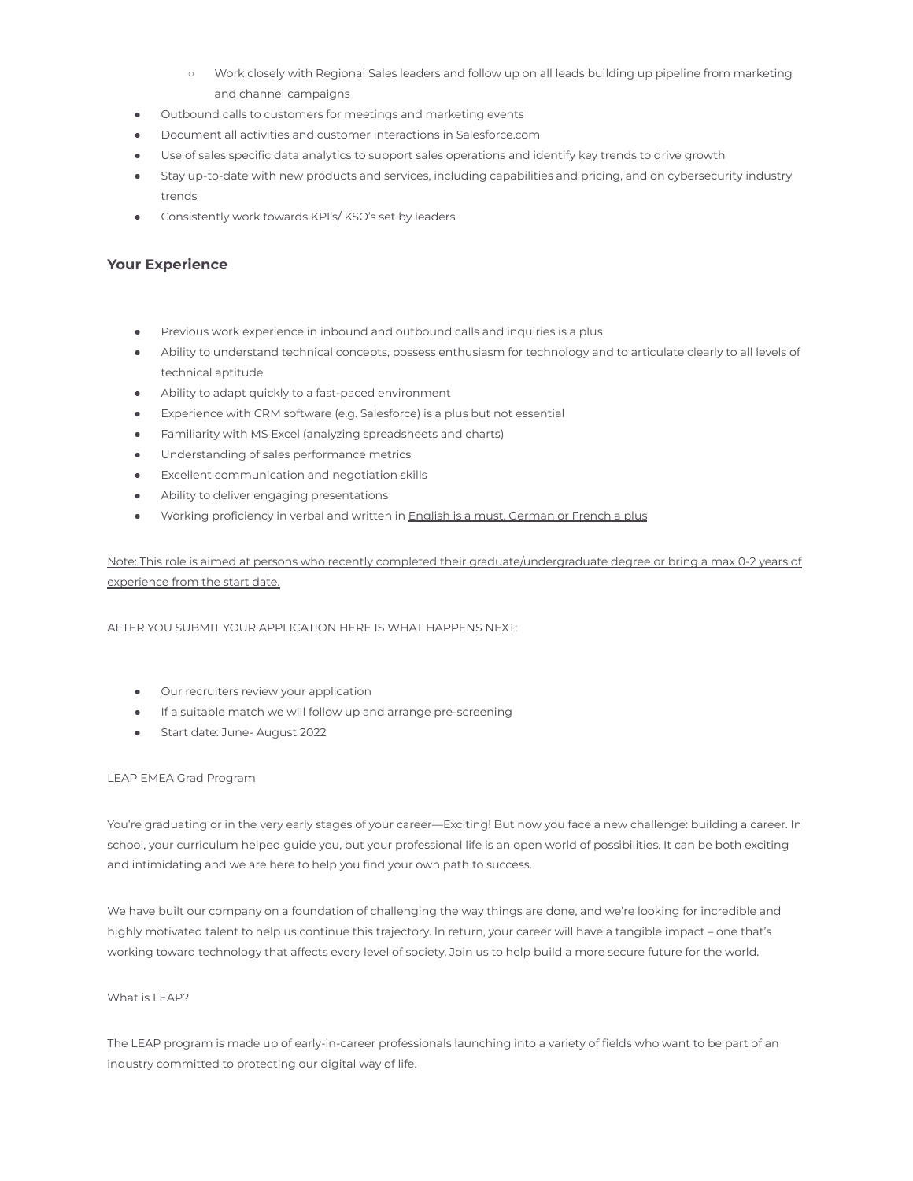- Work closely with Regional Sales leaders and follow up on all leads building up pipeline from marketing and channel campaigns
- Outbound calls to customers for meetings and marketing events
- Document all activities and customer interactions in Salesforce.com
- Use of sales specific data analytics to support sales operations and identify key trends to drive growth
- Stay up-to-date with new products and services, including capabilities and pricing, and on cybersecurity industry trends
- Consistently work towards KPI's/ KSO's set by leaders

#### **Your Experience**

- Previous work experience in inbound and outbound calls and inquiries is a plus
- Ability to understand technical concepts, possess enthusiasm for technology and to articulate clearly to all levels of technical aptitude
- Ability to adapt quickly to a fast-paced environment
- Experience with CRM software (e.g. Salesforce) is a plus but not essential
- Familiarity with MS Excel (analyzing spreadsheets and charts)
- Understanding of sales performance metrics
- Excellent communication and negotiation skills
- Ability to deliver engaging presentations
- Working proficiency in verbal and written in **English is a must**, German or French a plus

Note: This role is aimed at persons who recently completed their graduate/undergraduate degree or bring a max 0-2 years of experience from the start date.

AFTER YOU SUBMIT YOUR APPLICATION HERE IS WHAT HAPPENS NEXT:

- Our recruiters review your application
- If a suitable match we will follow up and arrange pre-screening
- Start date: June- August 2022

#### LEAP EMEA Grad Program

You're graduating or in the very early stages of your career—Exciting! But now you face a new challenge: building a career. In school, your curriculum helped guide you, but your professional life is an open world of possibilities. It can be both exciting and intimidating and we are here to help you find your own path to success.

We have built our company on a foundation of challenging the way things are done, and we're looking for incredible and highly motivated talent to help us continue this trajectory. In return, your career will have a tangible impact – one that's working toward technology that affects every level of society. Join us to help build a more secure future for the world.

#### What is LEAP?

The LEAP program is made up of early-in-career professionals launching into a variety of fields who want to be part of an industry committed to protecting our digital way of life.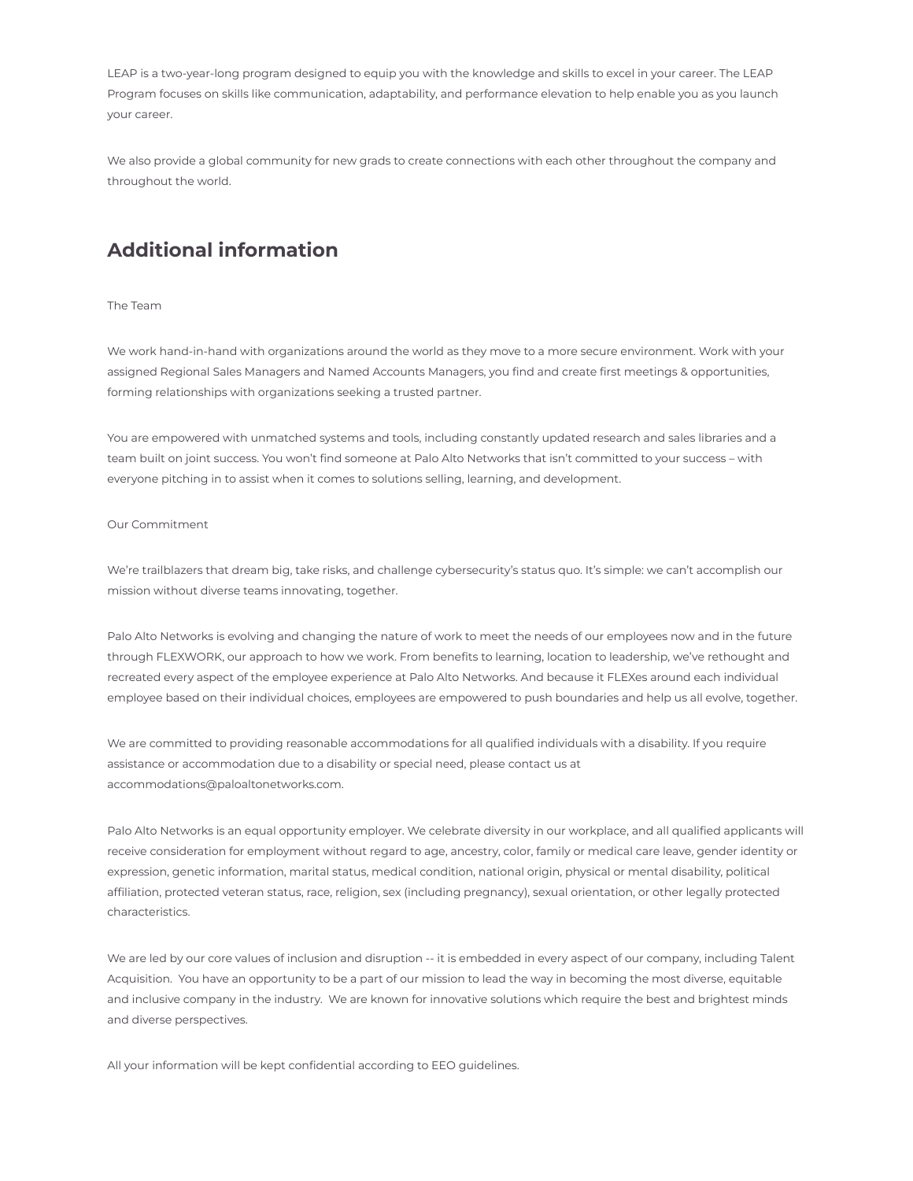LEAP is a two-year-long program designed to equip you with the knowledge and skills to excel in your career. The LEAP Program focuses on skills like communication, adaptability, and performance elevation to help enable you as you launch your career.

We also provide a global community for new grads to create connections with each other throughout the company and throughout the world.

### **Additional information**

The Team

We work hand-in-hand with organizations around the world as they move to a more secure environment. Work with your assigned Regional Sales Managers and Named Accounts Managers, you find and create first meetings & opportunities, forming relationships with organizations seeking a trusted partner.

You are empowered with unmatched systems and tools, including constantly updated research and sales libraries and a team built on joint success. You won't find someone at Palo Alto Networks that isn't committed to your success – with everyone pitching in to assist when it comes to solutions selling, learning, and development.

#### Our Commitment

We're trailblazers that dream big, take risks, and challenge cybersecurity's status quo. It's simple: we can't accomplish our mission without diverse teams innovating, together.

Palo Alto Networks is evolving and changing the nature of work to meet the needs of our employees now and in the future through FLEXWORK, our approach to how we work. From benefits to learning, location to leadership, we've rethought and recreated every aspect of the employee experience at Palo Alto Networks. And because it FLEXes around each individual employee based on their individual choices, employees are empowered to push boundaries and help us all evolve, together.

We are committed to providing reasonable accommodations for all qualified individuals with a disability. If you require assistance or accommodation due to a disability or special need, please contact us at accommodations@paloaltonetworks.com.

Palo Alto Networks is an equal opportunity employer. We celebrate diversity in our workplace, and all qualified applicants will receive consideration for employment without regard to age, ancestry, color, family or medical care leave, gender identity or expression, genetic information, marital status, medical condition, national origin, physical or mental disability, political affiliation, protected veteran status, race, religion, sex (including pregnancy), sexual orientation, or other legally protected characteristics.

We are led by our core values of inclusion and disruption -- it is embedded in every aspect of our company, including Talent Acquisition. You have an opportunity to be a part of our mission to lead the way in becoming the most diverse, equitable and inclusive company in the industry. We are known for innovative solutions which require the best and brightest minds and diverse perspectives.

All your information will be kept confidential according to EEO guidelines.